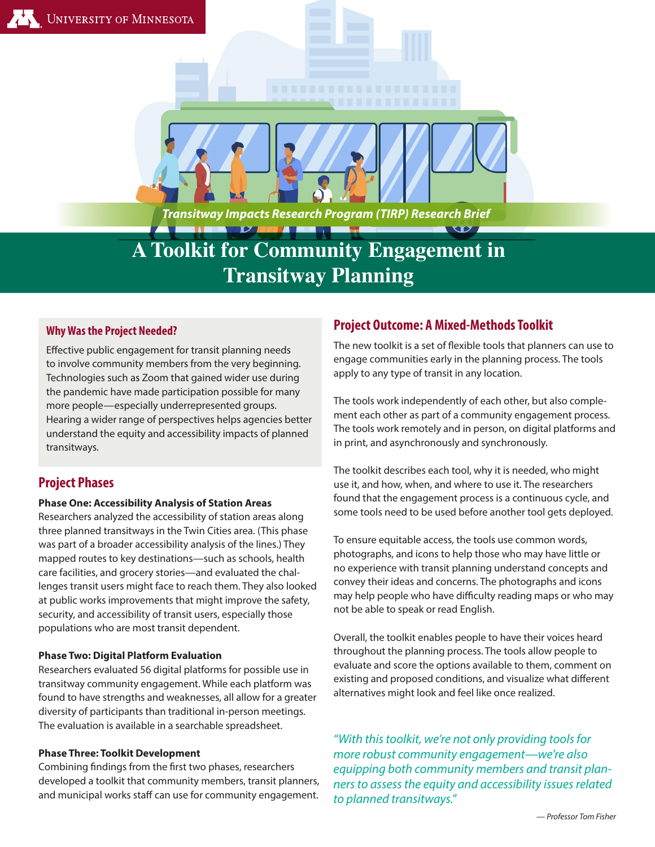*Transitway Impacts Research Program (TIRP) Research Brief*

# **A Toolkit for Community Engagement in Transitway Planning**

# **Why Was the Project Needed?**

Effective public engagement for transit planning needs to involve community members from the very beginning. Technologies such as Zoom that gained wider use during the pandemic have made participation possible for many more people—especially underrepresented groups. Hearing a wider range of perspectives helps agencies better understand the equity and accessibility impacts of planned transitways.

# **Project Phases**

## **Phase One: Accessibility Analysis of Station Areas**

Researchers analyzed the accessibility of station areas along three planned transitways in the Twin Cities area. (This phase was part of a broader accessibility analysis of the lines.) They mapped routes to key destinations—such as schools, health care facilities, and grocery stories—and evaluated the challenges transit users might face to reach them. They also looked at public works improvements that might improve the safety, security, and accessibility of transit users, especially those populations who are most transit dependent.

## **Phase Two: Digital Platform Evaluation**

Researchers evaluated 56 digital platforms for possible use in transitway community engagement. While each platform was found to have strengths and weaknesses, all allow for a greater diversity of participants than traditional in-person meetings. The evaluation is available in a searchable spreadsheet.

#### **Phase Three: Toolkit Development**

Combining findings from the first two phases, researchers developed a toolkit that community members, transit planners, and municipal works staff can use for community engagement.

# **Project Outcome: A Mixed-Methods Toolkit**

The new toolkit is a set of flexible tools that planners can use to engage communities early in the planning process. The tools apply to any type of transit in any location.

 $\overline{\mathbf{v}}$ 

The tools work independently of each other, but also complement each other as part of a community engagement process. The tools work remotely and in person, on digital platforms and in print, and asynchronously and synchronously.

The toolkit describes each tool, why it is needed, who might use it, and how, when, and where to use it. The researchers found that the engagement process is a continuous cycle, and some tools need to be used before another tool gets deployed.

To ensure equitable access, the tools use common words, photographs, and icons to help those who may have little or no experience with transit planning understand concepts and convey their ideas and concerns. The photographs and icons may help people who have difficulty reading maps or who may not be able to speak or read English.

Overall, the toolkit enables people to have their voices heard throughout the planning process. The tools allow people to evaluate and score the options available to them, comment on existing and proposed conditions, and visualize what different alternatives might look and feel like once realized.

*"With this toolkit, we're not only providing tools for more robust community engagement—we're also equipping both community members and transit planners to assess the equity and accessibility issues related to planned transitways."*